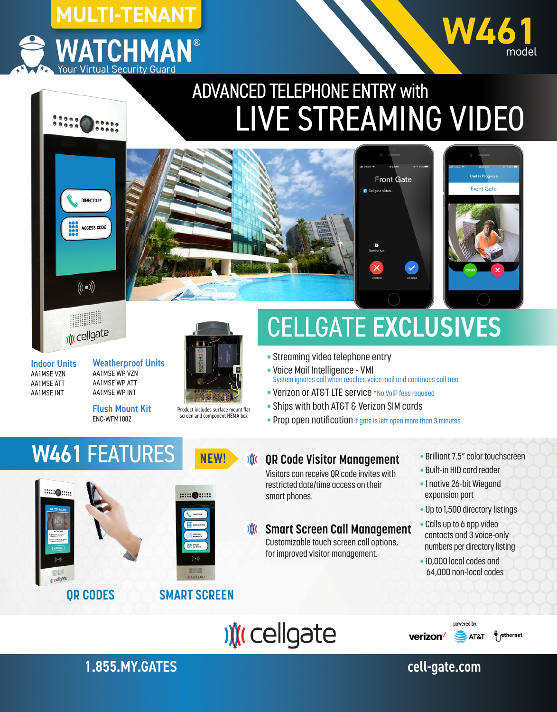



## ADVANCED TELEPHONE ENTRY with LIVE STREAMING VIDEO







Indoor Units AA1MSE VZN AA1MSE ATT AA1MSE INT

Weatherproof Units AA1MSE WP VZN AA1MSE WP ATT AA1MSE WP INT

Flush Mount Kit ENC-WFM1002

**W461 FEATURES** NEW!



Product includes surface mount flat screen and component NEMA box

**::::: ●:::::** 

**Sill mon SE WIST** 

# CELLGATE EXCLUSIVES

- Streaming video telephone entry
- Voice Mail Intelligence VMI
- System ignores call when reaches voice mail and continues call tree
- Verizon or AT&T LTE service \*No VoIP fees required
- Ships with both AT&T & Verizon SIM cards
- Prop open notification if gate is left open more than 3 minutes

#### $\mathcal{M}$ **QR Code Visitor Management**

Visitors can receive QR code invites with restricted date/time access on their smart phones.

#### **Smart Screen Call Management**  $\mathbf{M}$

Customizable touch screen call options, for improved visitor management.

- Brilliant 7.5" color touchscreen
- Built-in HID card reader
- 1 native 26-bit Wiegand expansion port
- Up to 1,500 directory listings
- Calls up to 6 app video contacts and 3 voice-only numbers per directory listing
- 10,000 local codes and 64,000 non-local codes

powered by





**SAT&T** verizon<sup>V</sup>



1.855.MY.GATES cell-gate.com